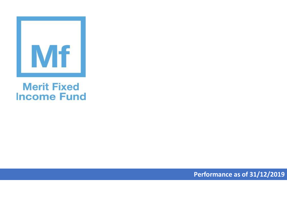

## **Merit Fixed Income Fund**

**Performance as of 31/12/2019**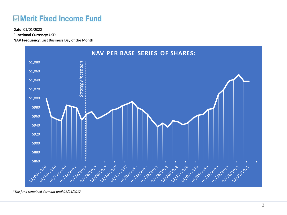## **ME Merit Fixed Income Fund**

**Functional Currency:** USD

**NAV Frequency:** Last Business Day of the Month